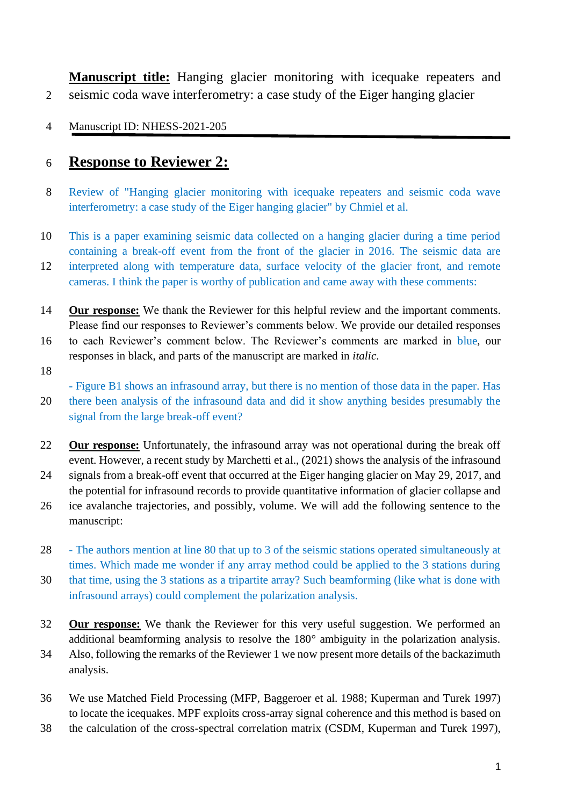**Manuscript title:** Hanging glacier monitoring with icequake repeaters and 2 seismic coda wave interferometry: a case study of the Eiger hanging glacier

4 Manuscript ID: NHESS-2021-205

## 6 **Response to Reviewer 2:**

- 8 Review of "Hanging glacier monitoring with icequake repeaters and seismic coda wave interferometry: a case study of the Eiger hanging glacier" by Chmiel et al.
- 10 This is a paper examining seismic data collected on a hanging glacier during a time period containing a break-off event from the front of the glacier in 2016. The seismic data are
- 12 interpreted along with temperature data, surface velocity of the glacier front, and remote cameras. I think the paper is worthy of publication and came away with these comments:
- 14 **Our response:** We thank the Reviewer for this helpful review and the important comments. Please find our responses to Reviewer's comments below. We provide our detailed responses
- 16 to each Reviewer's comment below. The Reviewer's comments are marked in blue, our responses in black, and parts of the manuscript are marked in *italic*.
- 18

- Figure B1 shows an infrasound array, but there is no mention of those data in the paper. Has

- 20 there been analysis of the infrasound data and did it show anything besides presumably the signal from the large break-off event?
- 22 **Our response:** Unfortunately, the infrasound array was not operational during the break off event. However, a recent study by Marchetti et al., (2021) shows the analysis of the infrasound
- 24 signals from a break-off event that occurred at the Eiger hanging glacier on May 29, 2017, and the potential for infrasound records to provide quantitative information of glacier collapse and
- 26 ice avalanche trajectories, and possibly, volume. We will add the following sentence to the manuscript:
- 28 The authors mention at line 80 that up to 3 of the seismic stations operated simultaneously at times. Which made me wonder if any array method could be applied to the 3 stations during
- 30 that time, using the 3 stations as a tripartite array? Such beamforming (like what is done with infrasound arrays) could complement the polarization analysis.
- 32 **Our response:** We thank the Reviewer for this very useful suggestion. We performed an additional beamforming analysis to resolve the 180° ambiguity in the polarization analysis.
- 34 Also, following the remarks of the Reviewer 1 we now present more details of the backazimuth analysis.
- 36 We use Matched Field Processing (MFP, Baggeroer et al. 1988; Kuperman and Turek 1997) to locate the icequakes. MPF exploits cross-array signal coherence and this method is based on
- 38 the calculation of the cross-spectral correlation matrix (CSDM, Kuperman and Turek 1997),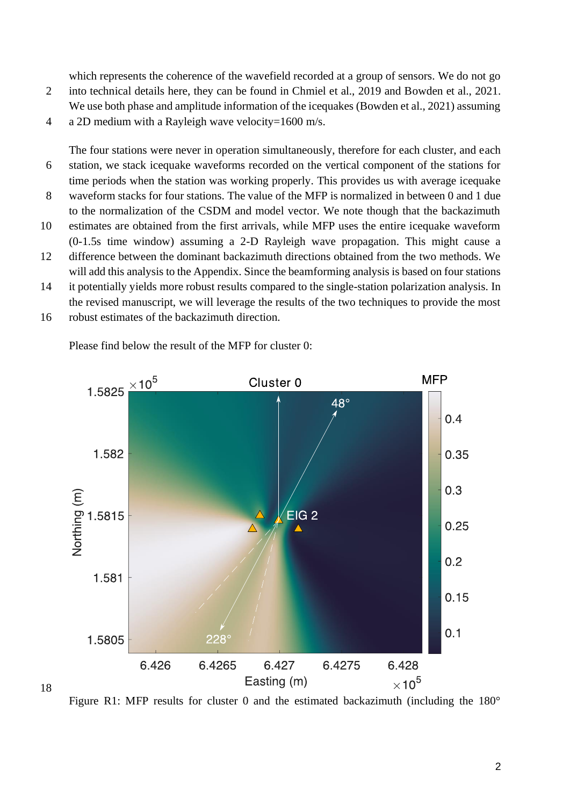which represents the coherence of the wavefield recorded at a group of sensors. We do not go

- 2 into technical details here, they can be found in Chmiel et al., 2019 and Bowden et al., 2021. We use both phase and amplitude information of the icequakes (Bowden et al., 2021) assuming
- 4 a 2D medium with a Rayleigh wave velocity=1600 m/s.

The four stations were never in operation simultaneously, therefore for each cluster, and each 6 station, we stack icequake waveforms recorded on the vertical component of the stations for time periods when the station was working properly. This provides us with average icequake

- 8 waveform stacks for four stations. The value of the MFP is normalized in between 0 and 1 due to the normalization of the CSDM and model vector. We note though that the backazimuth
- 10 estimates are obtained from the first arrivals, while MFP uses the entire icequake waveform (0-1.5s time window) assuming a 2-D Rayleigh wave propagation. This might cause a
- 12 difference between the dominant backazimuth directions obtained from the two methods. We will add this analysis to the Appendix. Since the beamforming analysis is based on four stations
- 14 it potentially yields more robust results compared to the single-station polarization analysis. In the revised manuscript, we will leverage the results of the two techniques to provide the most
- 16 robust estimates of the backazimuth direction.

18



Please find below the result of the MFP for cluster 0:

Figure R1: MFP results for cluster 0 and the estimated backazimuth (including the 180°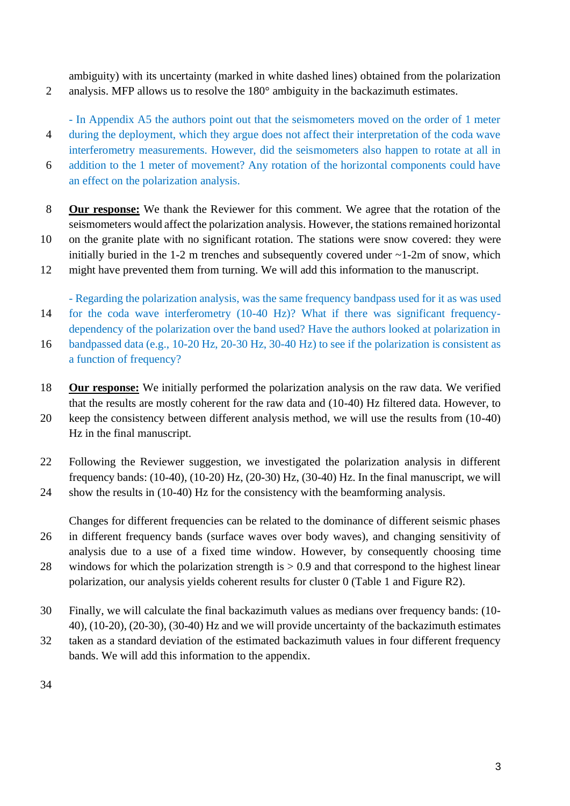ambiguity) with its uncertainty (marked in white dashed lines) obtained from the polarization 2 analysis. MFP allows us to resolve the 180° ambiguity in the backazimuth estimates.

- In Appendix A5 the authors point out that the seismometers moved on the order of 1 meter 4 during the deployment, which they argue does not affect their interpretation of the coda wave interferometry measurements. However, did the seismometers also happen to rotate at all in

6 addition to the 1 meter of movement? Any rotation of the horizontal components could have an effect on the polarization analysis.

- 8 **Our response:** We thank the Reviewer for this comment. We agree that the rotation of the seismometers would affect the polarization analysis. However, the stations remained horizontal
- 10 on the granite plate with no significant rotation. The stations were snow covered: they were initially buried in the 1-2 m trenches and subsequently covered under  $\sim$  1-2m of snow, which
- 12 might have prevented them from turning. We will add this information to the manuscript.

- Regarding the polarization analysis, was the same frequency bandpass used for it as was used 14 for the coda wave interferometry (10-40 Hz)? What if there was significant frequency-

- dependency of the polarization over the band used? Have the authors looked at polarization in
- 16 bandpassed data (e.g., 10-20 Hz, 20-30 Hz, 30-40 Hz) to see if the polarization is consistent as a function of frequency?
- 18 **Our response:** We initially performed the polarization analysis on the raw data. We verified that the results are mostly coherent for the raw data and (10-40) Hz filtered data. However, to

20 keep the consistency between different analysis method, we will use the results from (10-40) Hz in the final manuscript.

22 Following the Reviewer suggestion, we investigated the polarization analysis in different frequency bands: (10-40), (10-20) Hz, (20-30) Hz, (30-40) Hz. In the final manuscript, we will 24 show the results in (10-40) Hz for the consistency with the beamforming analysis.

Changes for different frequencies can be related to the dominance of different seismic phases 26 in different frequency bands (surface waves over body waves), and changing sensitivity of analysis due to a use of a fixed time window. However, by consequently choosing time 28 windows for which the polarization strength is > 0.9 and that correspond to the highest linear polarization, our analysis yields coherent results for cluster 0 (Table 1 and Figure R2).

- 30 Finally, we will calculate the final backazimuth values as medians over frequency bands: (10- 40), (10-20), (20-30), (30-40) Hz and we will provide uncertainty of the backazimuth estimates
- 32 taken as a standard deviation of the estimated backazimuth values in four different frequency bands. We will add this information to the appendix.
- 34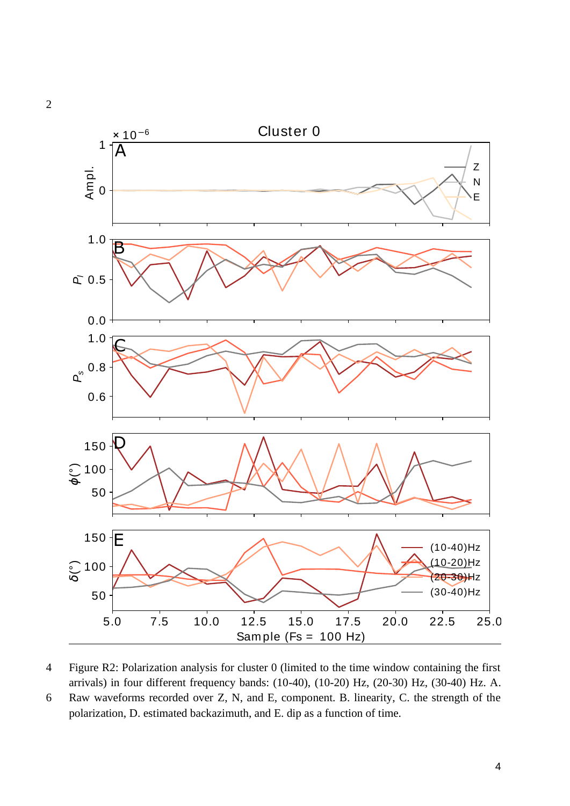

4 Figure R2: Polarization analysis for cluster 0 (limited to the time window containing the first arrivals) in four different frequency bands: (10-40), (10-20) Hz, (20-30) Hz, (30-40) Hz. A.

6 Raw waveforms recorded over Z, N, and E, component. B. linearity, C. the strength of the polarization, D. estimated backazimuth, and E. dip as a function of time.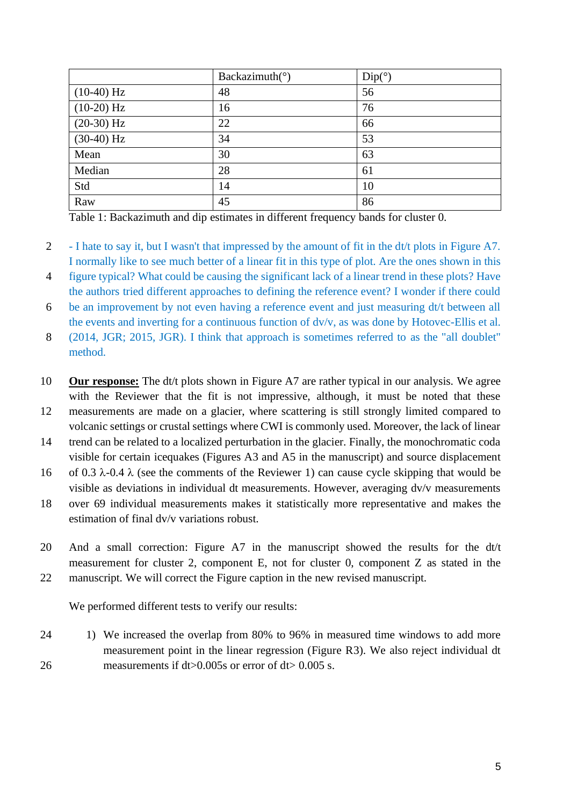|              | Backazimuth( $\circ$ ) | Dip(°) |
|--------------|------------------------|--------|
| $(10-40)$ Hz | 48                     | 56     |
| $(10-20) Hz$ | 16                     | 76     |
| $(20-30) Hz$ | 22                     | 66     |
| $(30-40)$ Hz | 34                     | 53     |
| Mean         | 30                     | 63     |
| Median       | 28                     | 61     |
| Std          | 14                     | 10     |
| Raw          | 45                     | 86     |

Table 1: Backazimuth and dip estimates in different frequency bands for cluster 0.

- 2 I hate to say it, but I wasn't that impressed by the amount of fit in the dt/t plots in Figure A7. I normally like to see much better of a linear fit in this type of plot. Are the ones shown in this
- 4 figure typical? What could be causing the significant lack of a linear trend in these plots? Have the authors tried different approaches to defining the reference event? I wonder if there could
- 6 be an improvement by not even having a reference event and just measuring dt/t between all the events and inverting for a continuous function of dv/v, as was done by Hotovec-Ellis et al.

8 (2014, JGR; 2015, JGR). I think that approach is sometimes referred to as the "all doublet" method.

- 10 **Our response:** The dt/t plots shown in Figure A7 are rather typical in our analysis. We agree with the Reviewer that the fit is not impressive, although, it must be noted that these
- 12 measurements are made on a glacier, where scattering is still strongly limited compared to volcanic settings or crustal settings where CWI is commonly used. Moreover, the lack of linear
- 14 trend can be related to a localized perturbation in the glacier. Finally, the monochromatic coda visible for certain icequakes (Figures A3 and A5 in the manuscript) and source displacement
- 16 of 0.3  $\lambda$ -0.4  $\lambda$  (see the comments of the Reviewer 1) can cause cycle skipping that would be visible as deviations in individual dt measurements. However, averaging dv/v measurements
- 18 over 69 individual measurements makes it statistically more representative and makes the estimation of final dv/v variations robust.
- 20 And a small correction: Figure A7 in the manuscript showed the results for the dt/t measurement for cluster 2, component E, not for cluster 0, component Z as stated in the 22 manuscript. We will correct the Figure caption in the new revised manuscript.

We performed different tests to verify our results:

24 1) We increased the overlap from 80% to 96% in measured time windows to add more measurement point in the linear regression (Figure R3). We also reject individual dt 26 measurements if dt>0.005s or error of dt> 0.005 s.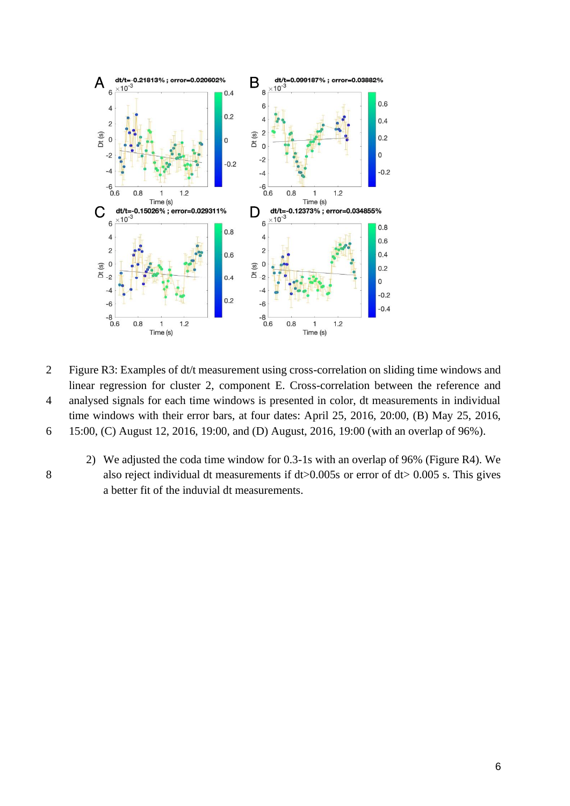

- 2 Figure R3: Examples of dt/t measurement using cross-correlation on sliding time windows and linear regression for cluster 2, component E. Cross-correlation between the reference and 4 analysed signals for each time windows is presented in color, dt measurements in individual time windows with their error bars, at four dates: April 25, 2016, 20:00, (B) May 25, 2016,
- 6 15:00, (C) August 12, 2016, 19:00, and (D) August, 2016, 19:00 (with an overlap of 96%).
- 
- 2) We adjusted the coda time window for 0.3-1s with an overlap of 96% (Figure R4). We 8 also reject individual dt measurements if dt>0.005s or error of dt> 0.005 s. This gives a better fit of the induvial dt measurements.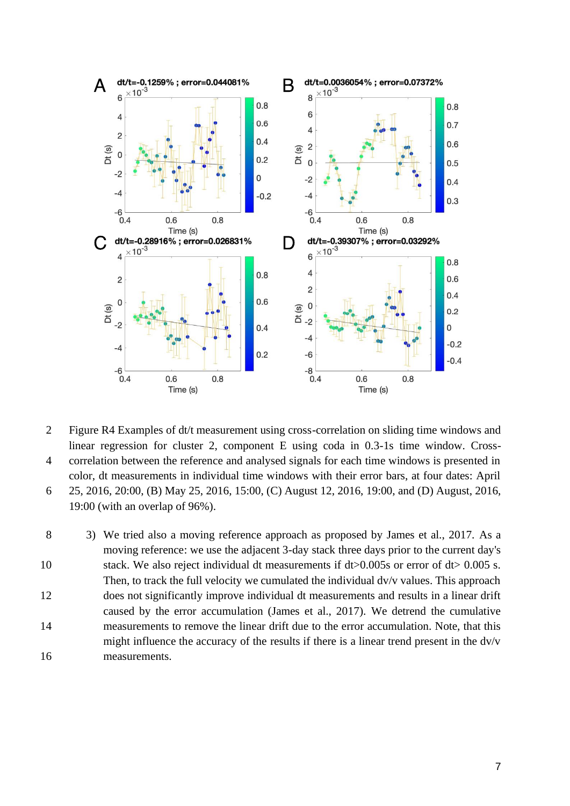

- 2 Figure R4 Examples of dt/t measurement using cross-correlation on sliding time windows and linear regression for cluster 2, component E using coda in 0.3-1s time window. Cross-4 correlation between the reference and analysed signals for each time windows is presented in color, dt measurements in individual time windows with their error bars, at four dates: April 6 25, 2016, 20:00, (B) May 25, 2016, 15:00, (C) August 12, 2016, 19:00, and (D) August, 2016,
- 19:00 (with an overlap of 96%).

8 3) We tried also a moving reference approach as proposed by James et al., 2017. As a moving reference: we use the adjacent 3-day stack three days prior to the current day's 10 stack. We also reject individual dt measurements if dt>0.005s or error of dt> 0.005 s. Then, to track the full velocity we cumulated the individual dv/v values. This approach 12 does not significantly improve individual dt measurements and results in a linear drift caused by the error accumulation (James et al., 2017). We detrend the cumulative 14 measurements to remove the linear drift due to the error accumulation. Note, that this might influence the accuracy of the results if there is a linear trend present in the dv/v 16 measurements.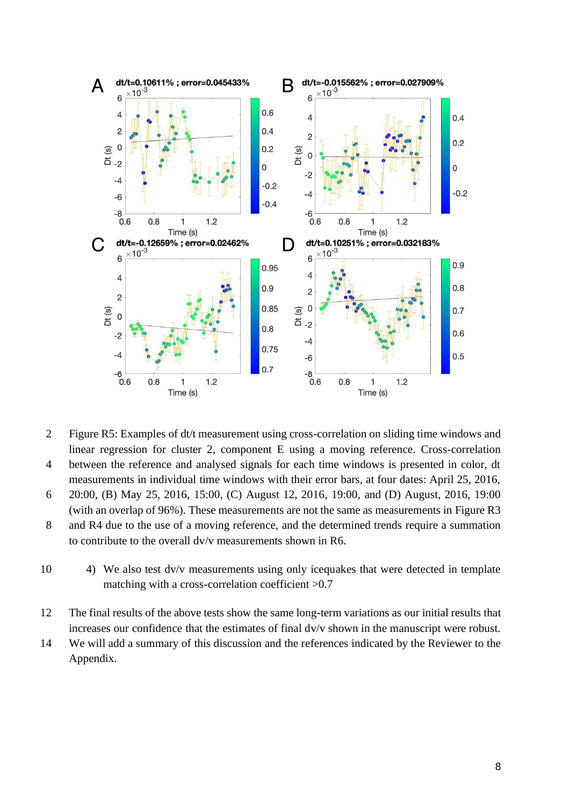

- 2 Figure R5: Examples of dt/t measurement using cross-correlation on sliding time windows and linear regression for cluster 2, component E using a moving reference. Cross-correlation 4 between the reference and analysed signals for each time windows is presented in color, dt
- measurements in individual time windows with their error bars, at four dates: April 25, 2016,
- 6 20:00, (B) May 25, 2016, 15:00, (C) August 12, 2016, 19:00, and (D) August, 2016, 19:00 (with an overlap of 96%). These measurements are not the same as measurements in Figure R3
- 8 and R4 due to the use of a moving reference, and the determined trends require a summation to contribute to the overall dv/v measurements shown in R6.
- 10 4) We also test dv/v measurements using only icequakes that were detected in template matching with a cross-correlation coefficient >0.7
- 12 The final results of the above tests show the same long-term variations as our initial results that increases our confidence that the estimates of final dv/v shown in the manuscript were robust.
- 14 We will add a summary of this discussion and the references indicated by the Reviewer to the Appendix.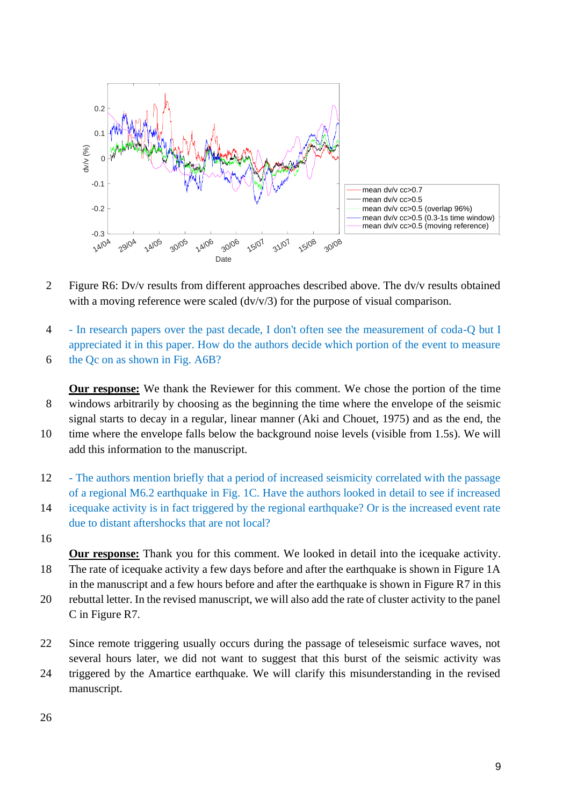

- 2 Figure R6: Dv/v results from different approaches described above. The dv/v results obtained with a moving reference were scaled (dv/v/3) for the purpose of visual comparison.
- 4 In research papers over the past decade, I don't often see the measurement of coda-Q but I appreciated it in this paper. How do the authors decide which portion of the event to measure 6 the Qc on as shown in Fig. A6B?

**Our response:** We thank the Reviewer for this comment. We chose the portion of the time 8 windows arbitrarily by choosing as the beginning the time where the envelope of the seismic signal starts to decay in a regular, linear manner (Aki and Chouet, 1975) and as the end, the

- 10 time where the envelope falls below the background noise levels (visible from 1.5s). We will add this information to the manuscript.
- 12 The authors mention briefly that a period of increased seismicity correlated with the passage of a regional M6.2 earthquake in Fig. 1C. Have the authors looked in detail to see if increased
- 14 icequake activity is in fact triggered by the regional earthquake? Or is the increased event rate due to distant aftershocks that are not local?
- 16

**Our response:** Thank you for this comment. We looked in detail into the icequake activity. 18 The rate of icequake activity a few days before and after the earthquake is shown in Figure 1A in the manuscript and a few hours before and after the earthquake is shown in Figure R7 in this

- 20 rebuttal letter. In the revised manuscript, we will also add the rate of cluster activity to the panel C in Figure R7.
- 22 Since remote triggering usually occurs during the passage of teleseismic surface waves, not several hours later, we did not want to suggest that this burst of the seismic activity was 24 triggered by the Amartice earthquake. We will clarify this misunderstanding in the revised manuscript.

26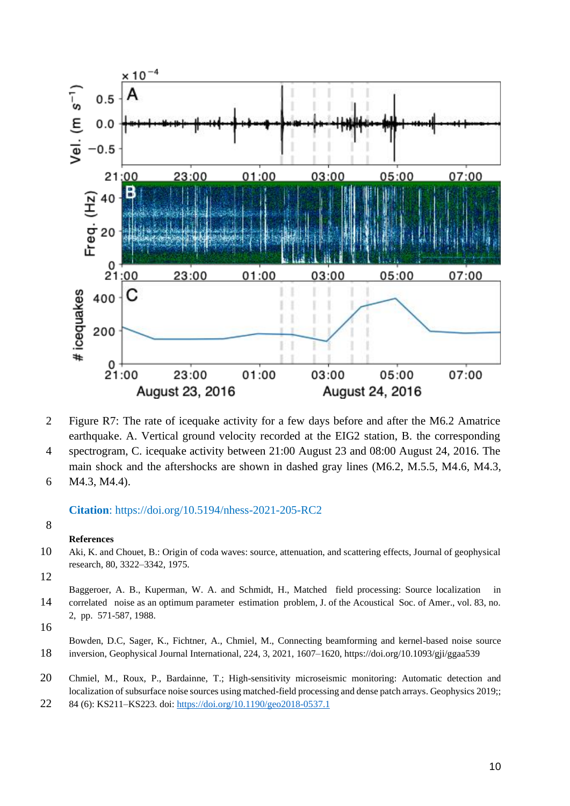

- 2 Figure R7: The rate of icequake activity for a few days before and after the M6.2 Amatrice earthquake. A. Vertical ground velocity recorded at the EIG2 station, B. the corresponding
- 4 spectrogram, C. icequake activity between 21:00 August 23 and 08:00 August 24, 2016. The main shock and the aftershocks are shown in dashed gray lines (M6.2, M.5.5, M4.6, M4.3,
- 6 M4.3, M4.4).

## **Citation**: https://doi.org/10.5194/nhess-2021-205-RC2

## 8

## **References**

- 10 Aki, K. and Chouet, B.: Origin of coda waves: source, attenuation, and scattering effects, Journal of geophysical research, 80, 3322–3342, 1975.
- 12

16

- 20 Chmiel, M., Roux, P., Bardainne, T.; High-sensitivity microseismic monitoring: Automatic detection and localization of subsurface noise sources using matched-field processing and dense patch arrays. Geophysics 2019;;
- 22 84 (6): KS211–KS223. doi:<https://doi.org/10.1190/geo2018-0537.1>

Baggeroer, A. B., Kuperman, W. A. and Schmidt, H., Matched field processing: Source localization in 14 correlated noise as an optimum parameter estimation problem, J. of the Acoustical Soc. of Amer., vol. 83, no. 2, pp. 571-587, 1988.

Bowden, D.C, Sager, K., Fichtner, A., Chmiel, M., Connecting beamforming and kernel-based noise source 18 inversion, Geophysical Journal International, 224, 3, 2021, 1607–1620, https://doi.org/10.1093/gji/ggaa539